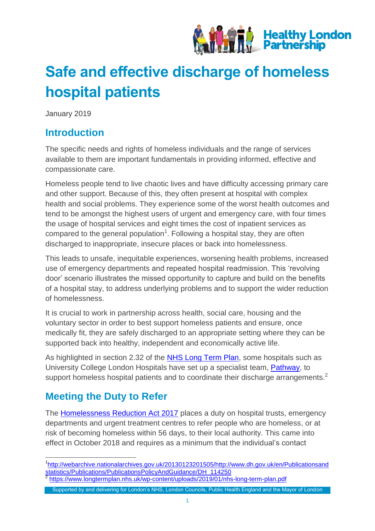

# **Safe and effective discharge of homeless hospital patients**

January 2019

### **Introduction**

The specific needs and rights of homeless individuals and the range of services available to them are important fundamentals in providing informed, effective and compassionate care.

Homeless people tend to live chaotic lives and have difficulty accessing primary care and other support. Because of this, they often present at hospital with complex health and social problems. They experience some of the worst health outcomes and tend to be amongst the highest users of urgent and emergency care, with four times the usage of hospital services and eight times the cost of inpatient services as compared to the general population<sup>1</sup>. Following a hospital stay, they are often discharged to inappropriate, insecure places or back into homelessness.

This leads to unsafe, inequitable experiences, worsening health problems, increased use of emergency departments and repeated hospital readmission. This 'revolving door' scenario illustrates the missed opportunity to capture and build on the benefits of a hospital stay, to address underlying problems and to support the wider reduction of homelessness.

It is crucial to work in partnership across health, social care, housing and the voluntary sector in order to best support homeless patients and ensure, once medically fit, they are safely discharged to an appropriate setting where they can be supported back into healthy, independent and economically active life.

As highlighted in section 2.32 of the [NHS Long Term Plan,](https://www.longtermplan.nhs.uk/wp-content/uploads/2019/01/nhs-long-term-plan.pdf) some hospitals such as University College London Hospitals have set up a specialist team, [Pathway,](https://www.pathway.org.uk/services/) to support homeless hospital patients and to coordinate their discharge arrangements.<sup>2</sup>

## **Meeting the Duty to Refer**

The [Homelessness Reduction Act 2017](http://www.legislation.gov.uk/ukpga/2017/13/contents/enacted) places a duty on hospital trusts, emergency departments and urgent treatment centres to refer people who are homeless, or at risk of becoming homeless within 56 days, to their local authority. This came into effect in October 2018 and requires as a minimum that the individual's contact

 $\overline{a}$ <sup>1</sup>[http://webarchive.nationalarchives.gov.uk/20130123201505/http://www.dh.gov.uk/en/Publicationsand](http://webarchive.nationalarchives.gov.uk/20130123201505/http:/www.dh.gov.uk/en/Publicationsandstatistics/Publications/PublicationsPolicyAndGuidance/DH_114250) [statistics/Publications/PublicationsPolicyAndGuidance/DH\\_114250](http://webarchive.nationalarchives.gov.uk/20130123201505/http:/www.dh.gov.uk/en/Publicationsandstatistics/Publications/PublicationsPolicyAndGuidance/DH_114250)<br>2 https://www.longtermplan.php.uk/yn.content/uploads/2010/01/ph <https://www.longtermplan.nhs.uk/wp-content/uploads/2019/01/nhs-long-term-plan.pdf>

Supported by and delivering for London's NHS, London Councils, Public Health England and the Mayor of London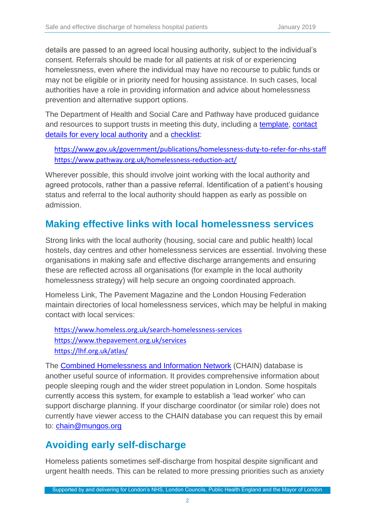details are passed to an agreed local housing authority, subject to the individual's consent. Referrals should be made for all patients at risk of or experiencing homelessness, even where the individual may have no recourse to public funds or may not be eligible or in priority need for housing assistance. In such cases, local authorities have a role in providing information and advice about homelessness prevention and alternative support options.

The Department of Health and Social Care and Pathway have produced guidance and resources to support trusts in meeting this duty, including a [template,](https://www.pathway.org.uk/wp-content/uploads/Standards-Appendix-1-HRA-Referral-Form-v02-August-18.docx) [contact](https://assets.publishing.service.gov.uk/government/uploads/system/uploads/attachment_data/file/762487/Local_Authority_Duty_to_Refer_emails_06122018.pdf) [details for every local authority](https://assets.publishing.service.gov.uk/government/uploads/system/uploads/attachment_data/file/762487/Local_Authority_Duty_to_Refer_emails_06122018.pdf) and a [checklist:](https://assets.publishing.service.gov.uk/government/uploads/system/uploads/attachment_data/file/758598/Duty_to_refer_-_health_services_checklist.odt)

<https://www.gov.uk/government/publications/homelessness-duty-to-refer-for-nhs-staff> <https://www.pathway.org.uk/homelessness-reduction-act/>

Wherever possible, this should involve joint working with the local authority and agreed protocols, rather than a passive referral. Identification of a patient's housing status and referral to the local authority should happen as early as possible on admission.

#### **Making effective links with local homelessness services**

Strong links with the local authority (housing, social care and public health) local hostels, day centres and other homelessness services are essential. Involving these organisations in making safe and effective discharge arrangements and ensuring these are reflected across all organisations (for example in the local authority homelessness strategy) will help secure an ongoing coordinated approach.

Homeless Link, The Pavement Magazine and the London Housing Federation maintain directories of local homelessness services, which may be helpful in making contact with local services:

<https://www.homeless.org.uk/search-homelessness-services> <https://www.thepavement.org.uk/services> <https://lhf.org.uk/atlas/>

The [Combined Homelessness and Information Network](https://www.mungos.org/work-with-us/chain/) (CHAIN) database is another useful source of information. It provides comprehensive information about people sleeping rough and the wider street population in London. Some hospitals currently access this system, for example to establish a 'lead worker' who can support discharge planning. If your discharge coordinator (or similar role) does not currently have viewer access to the CHAIN database you can request this by email to: [chain@mungos.org](mailto:chain@mungos.org)

#### **Avoiding early self-discharge**

Homeless patients sometimes self-discharge from hospital despite significant and urgent health needs. This can be related to more pressing priorities such as anxiety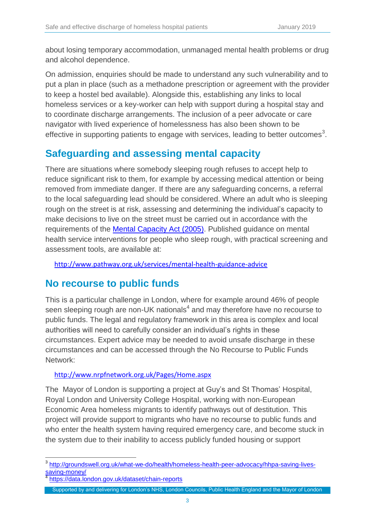about losing temporary accommodation, unmanaged mental health problems or drug and alcohol dependence.

On admission, enquiries should be made to understand any such vulnerability and to put a plan in place (such as a methadone prescription or agreement with the provider to keep a hostel bed available). Alongside this, establishing any links to local homeless services or a key-worker can help with support during a hospital stay and to coordinate discharge arrangements. The inclusion of a peer advocate or care navigator with lived experience of homelessness has also been shown to be effective in supporting patients to engage with services, leading to better outcomes<sup>3</sup>.

#### **Safeguarding and assessing mental capacity**

There are situations where somebody sleeping rough refuses to accept help to reduce significant risk to them, for example by accessing medical attention or being removed from immediate danger. If there are any safeguarding concerns, a referral to the local safeguarding lead should be considered. Where an adult who is sleeping rough on the street is at risk, assessing and determining the individual's capacity to make decisions to live on the street must be carried out in accordance with the requirements of the [Mental Capacity Act \(2005\).](https://www.legislation.gov.uk/ukpga/2005/9/contents) Published guidance on mental health service interventions for people who sleep rough, with practical screening and assessment tools, are available at:

<http://www.pathway.org.uk/services/mental-health-guidance-advice>

#### **No recourse to public funds**

This is a particular challenge in London, where for example around 46% of people seen sleeping rough are non-UK nationals $^4$  and may therefore have no recourse to public funds. The legal and regulatory framework in this area is complex and local authorities will need to carefully consider an individual's rights in these circumstances. Expert advice may be needed to avoid unsafe discharge in these circumstances and can be accessed through the No Recourse to Public Funds Network:

#### <http://www.nrpfnetwork.org.uk/Pages/Home.aspx>

The Mayor of London is supporting a project at Guy's and St Thomas' Hospital, Royal London and University College Hospital, working with non-European Economic Area homeless migrants to identify pathways out of destitution. This project will provide support to migrants who have no recourse to public funds and who enter the health system having required emergency care, and become stuck in the system due to their inability to access publicly funded housing or support

 $\overline{a}$ <sup>3</sup> [http://groundswell.org.uk/what-we-do/health/homeless-health-peer-advocacy/hhpa-saving-lives](http://groundswell.org.uk/what-we-do/health/homeless-health-peer-advocacy/hhpa-saving-lives-saving-money/)[saving-money/](http://groundswell.org.uk/what-we-do/health/homeless-health-peer-advocacy/hhpa-saving-lives-saving-money/) 4

<https://data.london.gov.uk/dataset/chain-reports>

Supported by and delivering for London's NHS, London Councils, Public Health England and the Mayor of London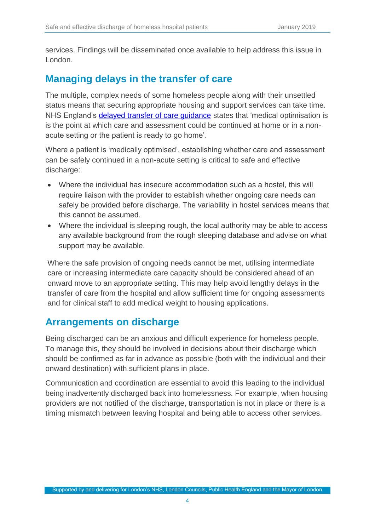services. Findings will be disseminated once available to help address this issue in London.

#### **Managing delays in the transfer of care**

The multiple, complex needs of some homeless people along with their unsettled status means that securing appropriate housing and support services can take time. NHS England's [delayed transfer of care guidance](https://www.england.nhs.uk/statistics/wp-content/uploads/sites/2/2018/11/Monthly-Delayed-Transfers-of-Care-Situation-Report-Principles-Definitions-and-Guidance.pdf) states that 'medical optimisation is is the point at which care and assessment could be continued at home or in a nonacute setting or the patient is ready to go home'.

Where a patient is 'medically optimised', establishing whether care and assessment can be safely continued in a non-acute setting is critical to safe and effective discharge:

- Where the individual has insecure accommodation such as a hostel, this will require liaison with the provider to establish whether ongoing care needs can safely be provided before discharge. The variability in hostel services means that this cannot be assumed.
- Where the individual is sleeping rough, the local authority may be able to access any available background from the rough sleeping database and advise on what support may be available.

Where the safe provision of ongoing needs cannot be met, utilising intermediate care or increasing intermediate care capacity should be considered ahead of an onward move to an appropriate setting. This may help avoid lengthy delays in the transfer of care from the hospital and allow sufficient time for ongoing assessments and for clinical staff to add medical weight to housing applications.

#### **Arrangements on discharge**

Being discharged can be an anxious and difficult experience for homeless people. To manage this, they should be involved in decisions about their discharge which should be confirmed as far in advance as possible (both with the individual and their onward destination) with sufficient plans in place.

Communication and coordination are essential to avoid this leading to the individual being inadvertently discharged back into homelessness. For example, when housing providers are not notified of the discharge, transportation is not in place or there is a timing mismatch between leaving hospital and being able to access other services.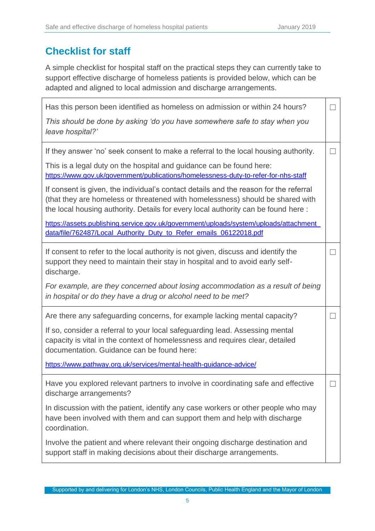#### **Checklist for staff**

A simple checklist for hospital staff on the practical steps they can currently take to support effective discharge of homeless patients is provided below, which can be adapted and aligned to local admission and discharge arrangements.

| Has this person been identified as homeless on admission or within 24 hours?<br>This should be done by asking 'do you have somewhere safe to stay when you                                                                                                   |               |
|--------------------------------------------------------------------------------------------------------------------------------------------------------------------------------------------------------------------------------------------------------------|---------------|
| leave hospital?'                                                                                                                                                                                                                                             |               |
| If they answer 'no' seek consent to make a referral to the local housing authority.                                                                                                                                                                          |               |
| This is a legal duty on the hospital and guidance can be found here:<br>https://www.gov.uk/government/publications/homelessness-duty-to-refer-for-nhs-staff                                                                                                  |               |
| If consent is given, the individual's contact details and the reason for the referral<br>(that they are homeless or threatened with homelessness) should be shared with<br>the local housing authority. Details for every local authority can be found here: |               |
| https://assets.publishing.service.gov.uk/government/uploads/system/uploads/attachment<br>data/file/762487/Local Authority Duty to Refer emails 06122018.pdf                                                                                                  |               |
| If consent to refer to the local authority is not given, discuss and identify the<br>support they need to maintain their stay in hospital and to avoid early self-<br>discharge.                                                                             |               |
| For example, are they concerned about losing accommodation as a result of being<br>in hospital or do they have a drug or alcohol need to be met?                                                                                                             |               |
| Are there any safeguarding concerns, for example lacking mental capacity?                                                                                                                                                                                    | $\mathcal{L}$ |
| If so, consider a referral to your local safeguarding lead. Assessing mental<br>capacity is vital in the context of homelessness and requires clear, detailed<br>documentation. Guidance can be found here:                                                  |               |
| https://www.pathway.org.uk/services/mental-health-guidance-advice/                                                                                                                                                                                           |               |
| Have you explored relevant partners to involve in coordinating safe and effective<br>discharge arrangements?                                                                                                                                                 |               |
| In discussion with the patient, identify any case workers or other people who may<br>have been involved with them and can support them and help with discharge<br>coordination.                                                                              |               |
| Involve the patient and where relevant their ongoing discharge destination and<br>support staff in making decisions about their discharge arrangements.                                                                                                      |               |